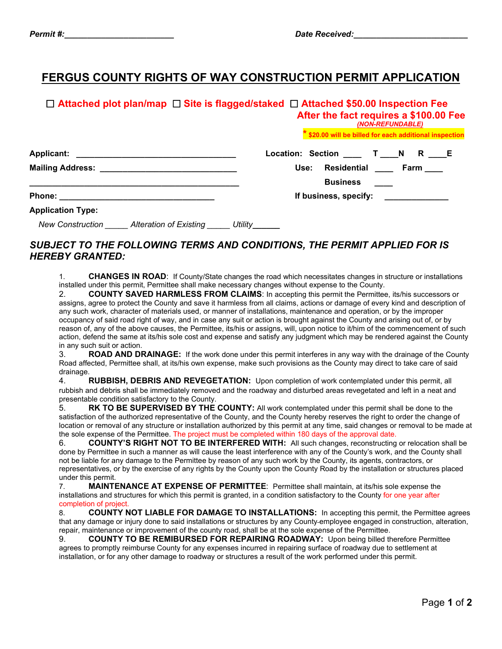## **FERGUS COUNTY RIGHTS OF WAY CONSTRUCTION PERMIT APPLICATION**

|                                                                        | $\Box$ Attached plot plan/map $\Box$ Site is flagged/staked $\Box$ Attached \$50.00 Inspection Fee<br>After the fact requires a \$100.00 Fee<br>(NON-REFUNDABLE) |
|------------------------------------------------------------------------|------------------------------------------------------------------------------------------------------------------------------------------------------------------|
|                                                                        | * \$20.00 will be billed for each additional inspection                                                                                                          |
|                                                                        | Location: Section ____ T ____ N R ____E                                                                                                                          |
| Mailing Address: ____________________________                          | Residential ____ Farm ____<br>Use:                                                                                                                               |
|                                                                        | <b>Business</b>                                                                                                                                                  |
|                                                                        | If business, specify: <u>_______________</u>                                                                                                                     |
| <b>Application Type:</b>                                               |                                                                                                                                                                  |
| <b>New Construction</b><br>Alteration of Existing ______ Utility______ |                                                                                                                                                                  |

## *SUBJECT TO THE FOLLOWING TERMS AND CONDITIONS, THE PERMIT APPLIED FOR IS HEREBY GRANTED:*

1. **CHANGES IN ROAD**: If County/State changes the road which necessitates changes in structure or installations installed under this permit, Permittee shall make necessary changes without expense to the County.

2. **COUNTY SAVED HARMLESS FROM CLAIMS**: In accepting this permit the Permittee, its/his successors or assigns, agree to protect the County and save it harmless from all claims, actions or damage of every kind and description of any such work, character of materials used, or manner of installations, maintenance and operation, or by the improper occupancy of said road right of way, and in case any suit or action is brought against the County and arising out of, or by reason of, any of the above causes, the Permittee, its/his or assigns, will, upon notice to it/him of the commencement of such action, defend the same at its/his sole cost and expense and satisfy any judgment which may be rendered against the County in any such suit or action.

3. **ROAD AND DRAINAGE:** If the work done under this permit interferes in any way with the drainage of the County Road affected, Permittee shall, at its/his own expense, make such provisions as the County may direct to take care of said drainage.

4. **RUBBISH, DEBRIS AND REVEGETATION:** Upon completion of work contemplated under this permit, all rubbish and debris shall be immediately removed and the roadway and disturbed areas revegetated and left in a neat and presentable condition satisfactory to the County.

5. **RK TO BE SUPERVISED BY THE COUNTY:** All work contemplated under this permit shall be done to the satisfaction of the authorized representative of the County, and the County hereby reserves the right to order the change of location or removal of any structure or installation authorized by this permit at any time, said changes or removal to be made at the sole expense of the Permittee. The project must be completed within 180 days of the approval date.

6. **COUNTY'S RIGHT NOT TO BE INTERFERED WITH:** All such changes, reconstructing or relocation shall be done by Permittee in such a manner as will cause the least interference with any of the County's work, and the County shall not be liable for any damage to the Permittee by reason of any such work by the County, its agents, contractors, or representatives, or by the exercise of any rights by the County upon the County Road by the installation or structures placed under this permit.

7. **MAINTENANCE AT EXPENSE OF PERMITTEE**: Permittee shall maintain, at its/his sole expense the installations and structures for which this permit is granted, in a condition satisfactory to the County for one year after completion of project.

8. **COUNTY NOT LIABLE FOR DAMAGE TO INSTALLATIONS:** In accepting this permit, the Permittee agrees that any damage or injury done to said installations or structures by any County employee engaged in construction, alteration, repair, maintenance or improvement of the county road, shall be at the sole expense of the Permittee.

9. **COUNTY TO BE REMIBURSED FOR REPAIRING ROADWAY:** Upon being billed therefore Permittee agrees to promptly reimburse County for any expenses incurred in repairing surface of roadway due to settlement at installation, or for any other damage to roadway or structures a result of the work performed under this permit.